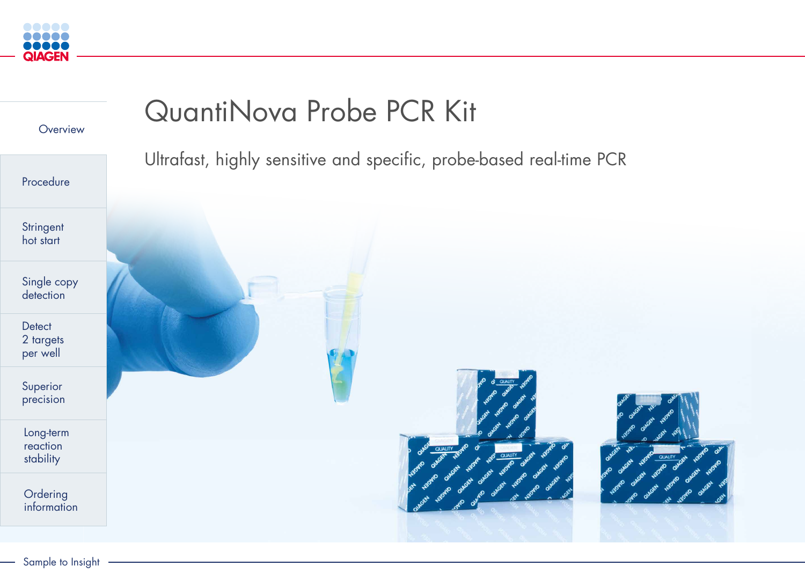<span id="page-0-0"></span>

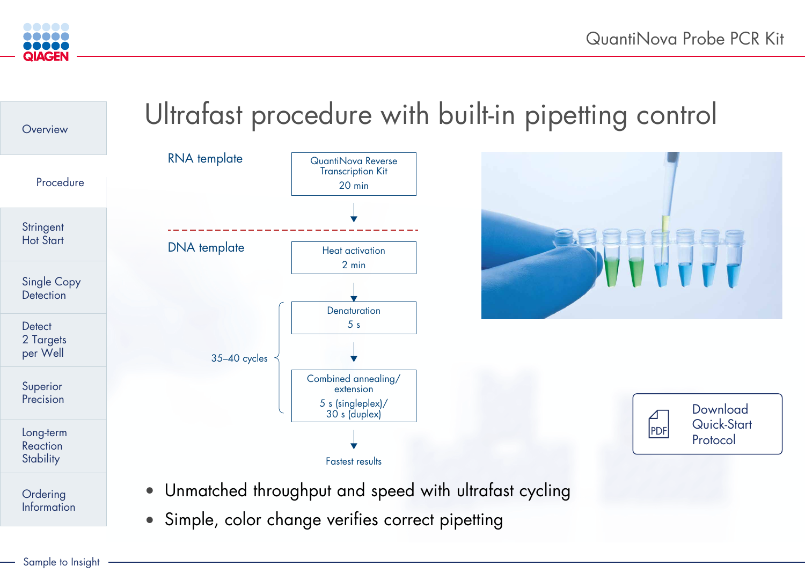## **Download** [Quick-Start](https://www.qiagen.com/resources/resourcedetail?id=49981eaf-9063-4244-85f9-d21ae542ed35&lang=en)  Protocol

# Ultrafast procedure with built-in pipetting control

| <i>v</i> a Reverse<br>otion Kit         |
|-----------------------------------------|
| min                                     |
|                                         |
|                                         |
|                                         |
| tivation                                |
| nin                                     |
|                                         |
|                                         |
| <i><b>ration</b></i>                    |
| $\mathsf{S}$                            |
|                                         |
|                                         |
| $\mathsf{annealing}/\mathsf{}$<br>ision |
| leplex)/<br>luplex)                     |
|                                         |



<span id="page-1-0"></span>



• Unmatched throughput and speed with ultrafast cycling







• Simple, color change verifies correct pipetting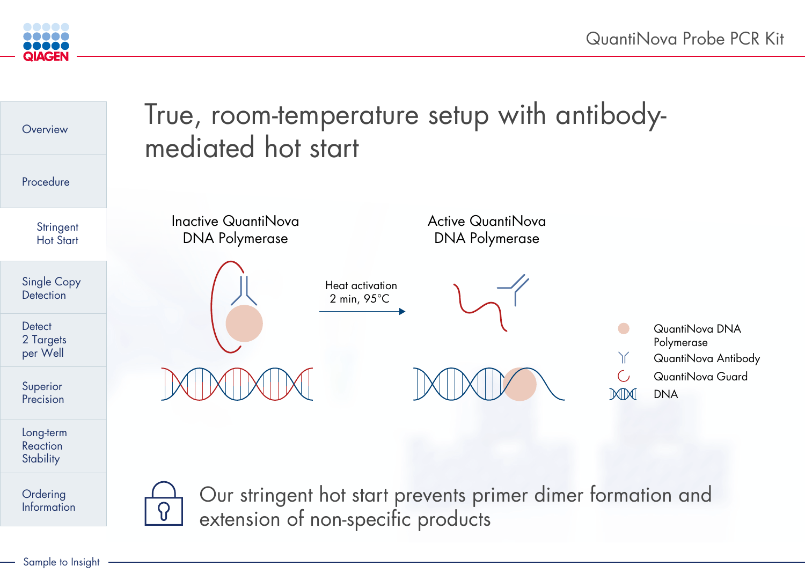

<span id="page-2-0"></span>

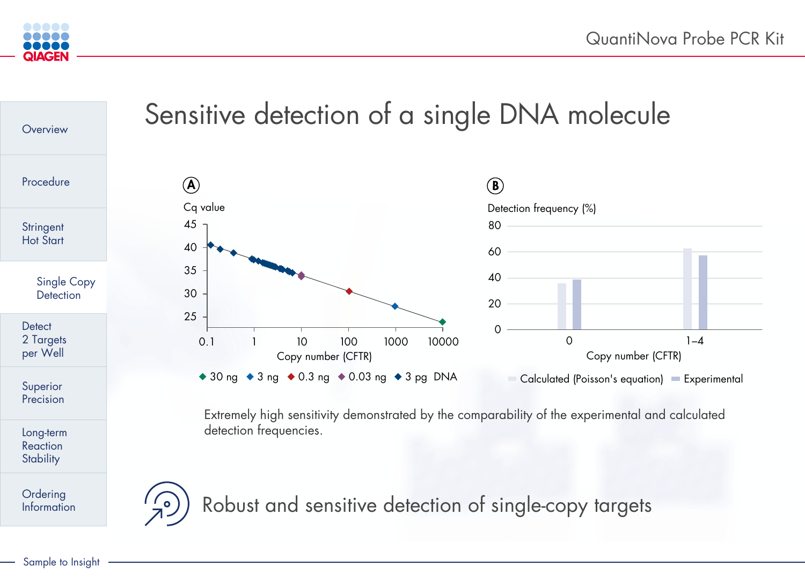



<span id="page-3-0"></span>

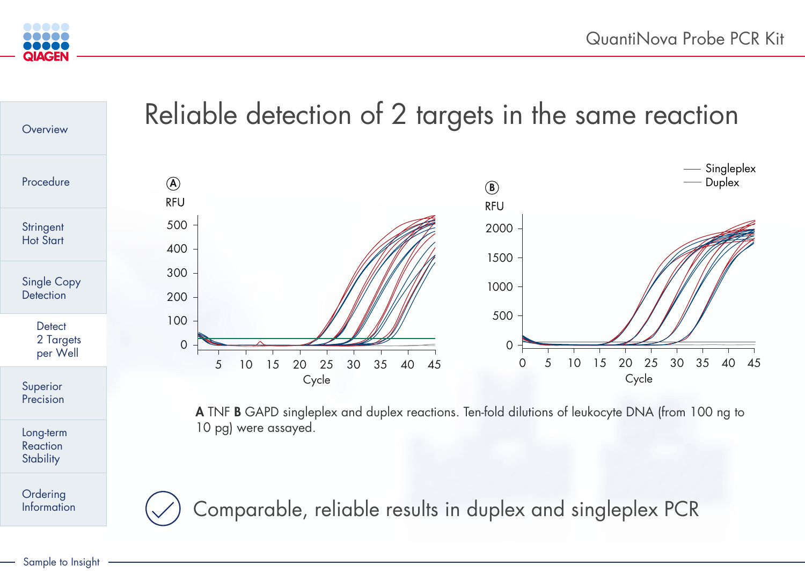## $\overline{\phantom{0}}$

<span id="page-4-0"></span>



300



200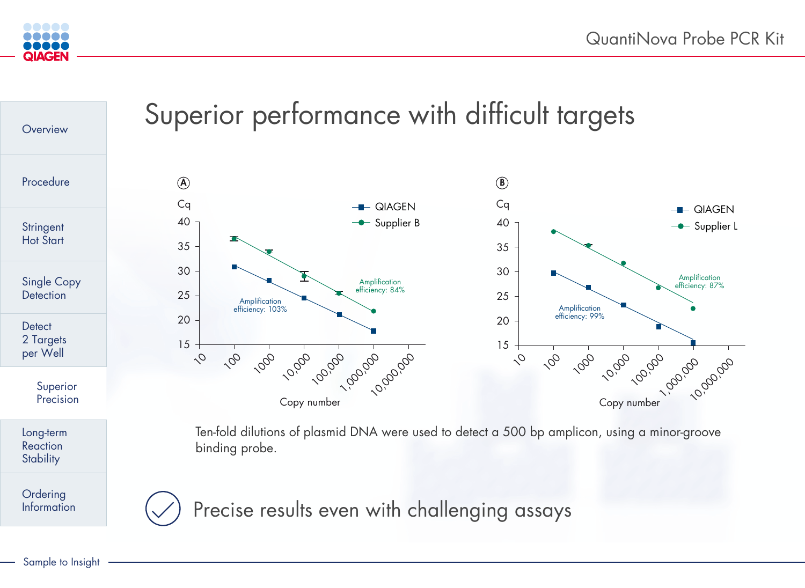Amplication

Amplication

efciency: 103%

<span id="page-5-0"></span>



15





## 20 efciency: 99%

30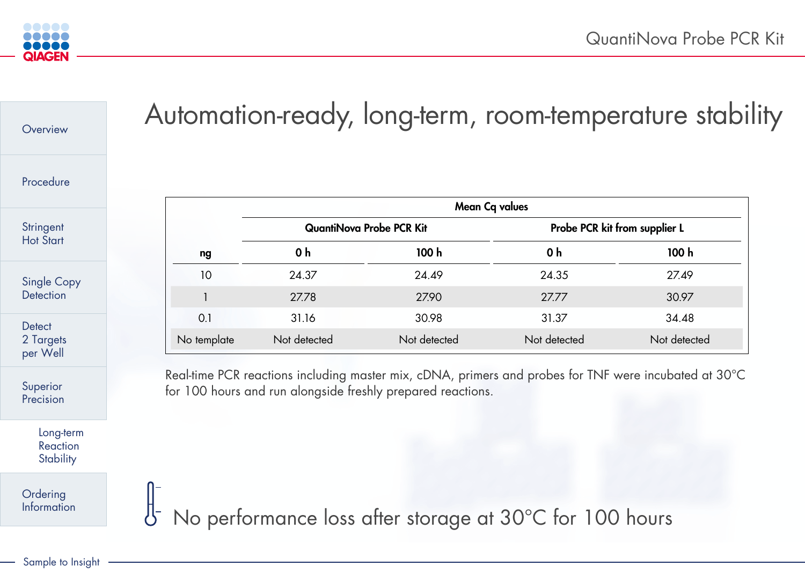







<span id="page-6-0"></span>

| Overview                                  |             |                                                           |                                                             | Automation-ready, long-term, room-temperature stabi                                                   |              |
|-------------------------------------------|-------------|-----------------------------------------------------------|-------------------------------------------------------------|-------------------------------------------------------------------------------------------------------|--------------|
| Procedure                                 |             |                                                           |                                                             |                                                                                                       |              |
| Stringent<br><b>Hot Start</b>             |             | <b>QuantiNova Probe PCR Kit</b>                           |                                                             | <b>Mean Cq values</b><br>Probe PCR kit from supplier L                                                |              |
|                                           | ng          | 0 <sub>h</sub>                                            | 100h                                                        | 0 <sub>h</sub>                                                                                        | 100 h        |
| <b>Single Copy</b><br><b>Detection</b>    | 10          | 24.37                                                     | 24.49                                                       | 24.35                                                                                                 | 27.49        |
|                                           |             | 27.78                                                     | 27.90                                                       | 27.77                                                                                                 | 30.97        |
| <b>Detect</b><br>2 Targets<br>per Well    | 0.1         | 31.16                                                     | 30.98                                                       | 31.37                                                                                                 | 34.48        |
|                                           | No template | Not detected                                              | Not detected                                                | Not detected                                                                                          | Not detected |
| Superior<br>Precision                     |             |                                                           | for 100 hours and run alongside freshly prepared reactions. | Real-time PCR reactions including master mix, cDNA, primers and probes for TNF were incubated at 30°C |              |
| Long-term<br>Reaction<br><b>Stability</b> |             |                                                           |                                                             |                                                                                                       |              |
| <b>Ordering<br/>Information</b>           |             | 8 No performance loss after storage at 30°C for 100 hours |                                                             |                                                                                                       |              |